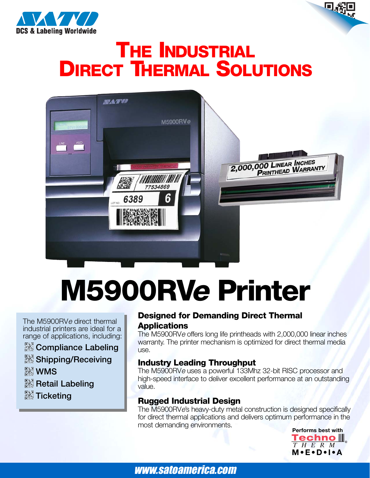

## **THE INDUSTRIAL DIRECT THERMAL SOLUTIONS**



# **M5900RV<sup>e</sup> Printer**

The M5900RV<sup>e</sup> direct thermal industrial printers are ideal for a range of applications, including:

- *<b>R* Compliance Labeling
- **Shipping/Receiving**
- **&WMS**
- **Retail Labeling**
- **<b>K**y Ticketing

#### **Designed for Demanding Direct Thermal Applications**

The M5900RV<sup>e</sup> offers long life printheads with 2,000,000 linear inches warranty. The printer mechanism is optimized for direct thermal media use.

### **Industry Leading Throughput**

The M5900RV<sup>e</sup> uses a powerful 133Mhz 32-bit RISC processor and high-speed interface to deliver excellent performance at an outstanding value.

### **Rugged Industrial Design**

The M5900RVe's heavy-duty metal construction is designed specifically for direct thermal applications and delivers optimum performance in the most demanding environments.

**Performs best with Techno** III THERM **M•E•D•I•A**

www.satoamerica.com